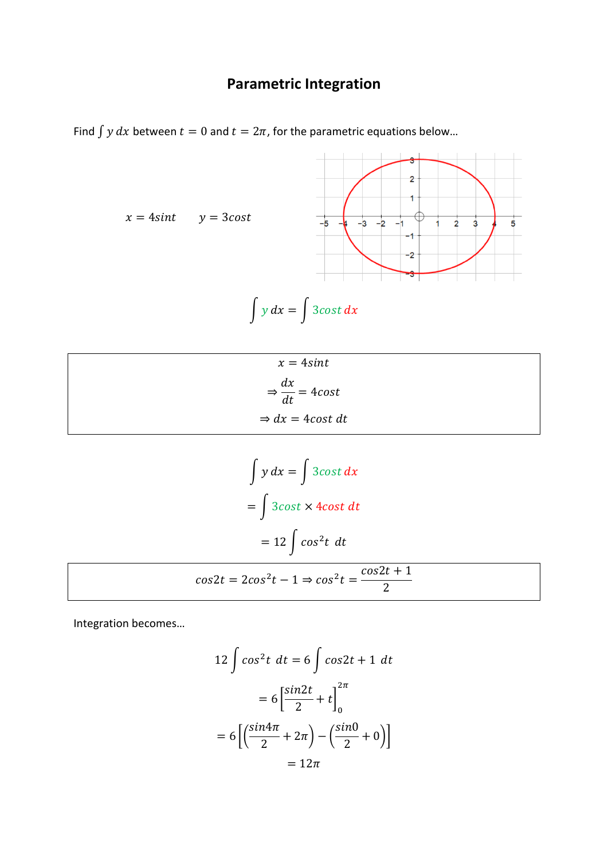## **Parametric Integration**

Find  $\int y dx$  between  $t = 0$  and  $t = 2\pi$ , for the parametric equations below...



$$
x = 4\sin t
$$
  
\n
$$
\Rightarrow \frac{dx}{dt} = 4\cos t
$$
  
\n
$$
\Rightarrow dx = 4\cos t \, dt
$$

$$
\int y \, dx = \int 3\cos t \, dx
$$

$$
= \int 3\cos t \times 4\cos t \, dt
$$

$$
= 12 \int \cos^2 t \, dt
$$

$$
\cos 2t = 2\cos^2 t - 1 \Rightarrow \cos^2 t = \frac{\cos 2t + 1}{2}
$$

Integration becomes…

$$
12 \int \cos^2 t \, dt = 6 \int \cos 2t + 1 \, dt
$$

$$
= 6 \left[ \frac{\sin 2t}{2} + t \right]_0^{2\pi}
$$

$$
= 6 \left[ \left( \frac{\sin 4\pi}{2} + 2\pi \right) - \left( \frac{\sin 0}{2} + 0 \right) \right]
$$

$$
= 12\pi
$$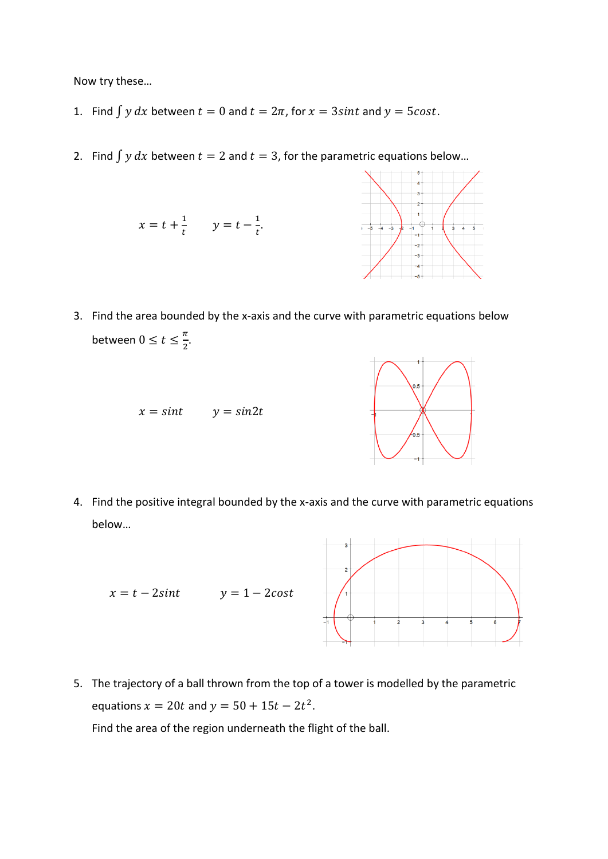Now try these…

- 1. Find  $\int y dx$  between  $t = 0$  and  $t = 2π$ , for  $x = 3 sint$  and  $y = 5cost$ .
- 2. Find  $\int y dx$  between  $t = 2$  and  $t = 3$ , for the parametric equations below...



3. Find the area bounded by the x-axis and the curve with parametric equations below between  $0 \le t \le \frac{\pi}{2}$  $\frac{\pi}{2}$ .





4. Find the positive integral bounded by the x-axis and the curve with parametric equations below…



5. The trajectory of a ball thrown from the top of a tower is modelled by the parametric equations  $x = 20t$  and  $y = 50 + 15t - 2t^2$ .

Find the area of the region underneath the flight of the ball.